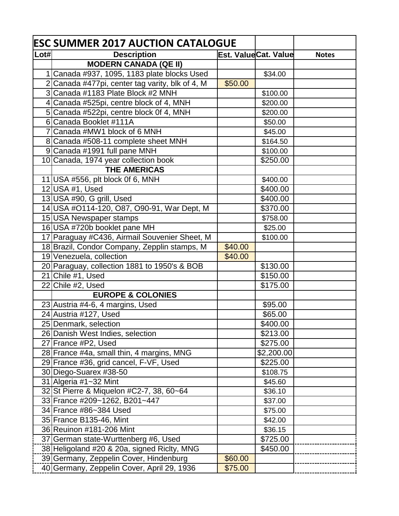| \$50.00 | Est. ValueCat. Value<br>\$34.00<br>\$100.00<br>\$200.00<br>\$200.00<br>\$50.00<br>\$45.00<br>\$164.50<br>\$100.00<br>\$250.00 | <b>Notes</b>                                                                                                                                                                                                   |
|---------|-------------------------------------------------------------------------------------------------------------------------------|----------------------------------------------------------------------------------------------------------------------------------------------------------------------------------------------------------------|
|         |                                                                                                                               |                                                                                                                                                                                                                |
|         |                                                                                                                               |                                                                                                                                                                                                                |
|         |                                                                                                                               |                                                                                                                                                                                                                |
|         |                                                                                                                               |                                                                                                                                                                                                                |
|         |                                                                                                                               |                                                                                                                                                                                                                |
|         |                                                                                                                               |                                                                                                                                                                                                                |
|         |                                                                                                                               |                                                                                                                                                                                                                |
|         |                                                                                                                               |                                                                                                                                                                                                                |
|         |                                                                                                                               |                                                                                                                                                                                                                |
|         |                                                                                                                               |                                                                                                                                                                                                                |
|         |                                                                                                                               |                                                                                                                                                                                                                |
|         |                                                                                                                               |                                                                                                                                                                                                                |
|         |                                                                                                                               |                                                                                                                                                                                                                |
|         | \$400.00                                                                                                                      |                                                                                                                                                                                                                |
|         | \$400.00                                                                                                                      |                                                                                                                                                                                                                |
|         | \$400.00                                                                                                                      |                                                                                                                                                                                                                |
|         | \$370.00                                                                                                                      |                                                                                                                                                                                                                |
|         | \$758.00                                                                                                                      |                                                                                                                                                                                                                |
|         | \$25.00                                                                                                                       |                                                                                                                                                                                                                |
|         | \$100.00                                                                                                                      |                                                                                                                                                                                                                |
| \$40.00 |                                                                                                                               |                                                                                                                                                                                                                |
| \$40.00 |                                                                                                                               |                                                                                                                                                                                                                |
|         | \$130.00                                                                                                                      |                                                                                                                                                                                                                |
|         |                                                                                                                               |                                                                                                                                                                                                                |
|         |                                                                                                                               |                                                                                                                                                                                                                |
|         |                                                                                                                               |                                                                                                                                                                                                                |
|         |                                                                                                                               |                                                                                                                                                                                                                |
|         |                                                                                                                               |                                                                                                                                                                                                                |
|         |                                                                                                                               |                                                                                                                                                                                                                |
|         |                                                                                                                               |                                                                                                                                                                                                                |
|         |                                                                                                                               |                                                                                                                                                                                                                |
|         |                                                                                                                               |                                                                                                                                                                                                                |
|         |                                                                                                                               |                                                                                                                                                                                                                |
|         |                                                                                                                               |                                                                                                                                                                                                                |
|         |                                                                                                                               |                                                                                                                                                                                                                |
|         |                                                                                                                               |                                                                                                                                                                                                                |
|         |                                                                                                                               |                                                                                                                                                                                                                |
|         |                                                                                                                               |                                                                                                                                                                                                                |
|         |                                                                                                                               |                                                                                                                                                                                                                |
|         |                                                                                                                               |                                                                                                                                                                                                                |
|         |                                                                                                                               |                                                                                                                                                                                                                |
|         |                                                                                                                               |                                                                                                                                                                                                                |
|         |                                                                                                                               |                                                                                                                                                                                                                |
| \$75.00 |                                                                                                                               |                                                                                                                                                                                                                |
|         | \$60.00                                                                                                                       | \$150.00<br>\$175.00<br>\$95.00<br>\$65.00<br>\$400.00<br>\$213.00<br>\$275.00<br>\$2,200.00<br>\$225.00<br>\$108.75<br>\$45.60<br>\$36.10<br>\$37.00<br>\$75.00<br>\$42.00<br>\$36.15<br>\$725.00<br>\$450.00 |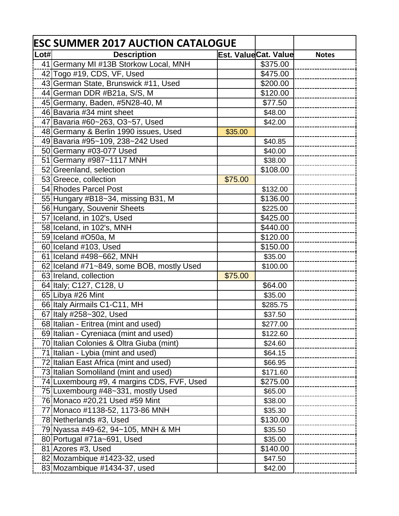| Lot#<br><b>Description</b><br>Est. ValueCat. Value<br>41 Germany MI #13B Storkow Local, MNH<br>\$375.00 | <b>Notes</b> |
|---------------------------------------------------------------------------------------------------------|--------------|
|                                                                                                         |              |
|                                                                                                         |              |
| 42 Togo #19, CDS, VF, Used<br>\$475.00                                                                  |              |
| 43 German State, Brunswick #11, Used<br>\$200.00                                                        |              |
| 44 German DDR #B21a, S/S, M<br>\$120.00                                                                 |              |
| 45 Germany, Baden, #5N28-40, M<br>\$77.50                                                               |              |
| 46 Bavaria #34 mint sheet<br>\$48.00                                                                    |              |
| 47 Bavaria #60~263, O3~57, Used<br>\$42.00                                                              |              |
| 48 Germany & Berlin 1990 issues, Used<br>\$35.00                                                        |              |
| 49 Bavaria #95~109, 238~242 Used<br>\$40.85                                                             |              |
| 50 Germany #03-077 Used<br>\$40.00                                                                      |              |
| 51 Germany #987~1117 MNH<br>\$38.00                                                                     |              |
| 52 Greenland, selection<br>\$108.00                                                                     |              |
| 53 Greece, collection<br>\$75.00                                                                        |              |
| 54 Rhodes Parcel Post<br>\$132.00                                                                       |              |
| 55 Hungary #B18~34, missing B31, M<br>\$136.00                                                          |              |
| 56 Hungary, Souvenir Sheets<br>\$225.00                                                                 |              |
| 57 Iceland, in 102's, Used<br>\$425.00                                                                  |              |
| 58 Iceland, in 102's, MNH<br>\$440.00                                                                   |              |
| 59 Iceland #O50a, M<br>\$120.00                                                                         |              |
| 60 Iceland #103, Used<br>\$150.00                                                                       |              |
| 61 Iceland #498~662, MNH<br>\$35.00                                                                     |              |
| 62 Iceland #71~849, some BOB, mostly Used<br>\$100.00                                                   |              |
| 63 Ireland, collection<br>\$75.00                                                                       |              |
| 64 Italy; C127, C128, U<br>\$64.00                                                                      |              |
| 65 Libya #26 Mint<br>\$35.00                                                                            |              |
| 66 Italy Airmails C1-C11, MH<br>\$285.75                                                                |              |
| 67 Italy #258~302, Used<br>\$37.50                                                                      |              |
| 68 Italian - Eritrea (mint and used)<br>\$277.00                                                        |              |
| 69 Italian - Cyreniaca (mint and used)<br>\$122.60                                                      |              |
| 70 Italian Colonies & Oltra Giuba (mint)<br>\$24.60                                                     |              |
| 71 Italian - Lybia (mint and used)<br>\$64.15                                                           |              |
| 72 Italian East Africa (mint and used)<br>\$66.95                                                       |              |
| 73 Italian Somoliland (mint and used)<br>\$171.60                                                       |              |
| 74 Luxembourg #9, 4 margins CDS, FVF, Used<br>\$275.00                                                  |              |
| 75 Luxembourg #48~331, mostly Used<br>\$65.00                                                           |              |
| 76 Monaco #20,21 Used #59 Mint<br>\$38.00                                                               |              |
| 77 Monaco #1138-52, 1173-86 MNH<br>\$35.30                                                              |              |
| 78 Netherlands #3, Used<br>\$130.00                                                                     |              |
| 79 Nyassa #49-62, 94~105, MNH & MH<br>\$35.50                                                           |              |
| 80 Portugal #71a~691, Used<br>\$35.00                                                                   |              |
| 81 Azores #3, Used<br>\$140.00                                                                          |              |
| 82 Mozambique #1423-32, used<br>\$47.50                                                                 |              |
| 83 Mozambique #1434-37, used<br>\$42.00                                                                 |              |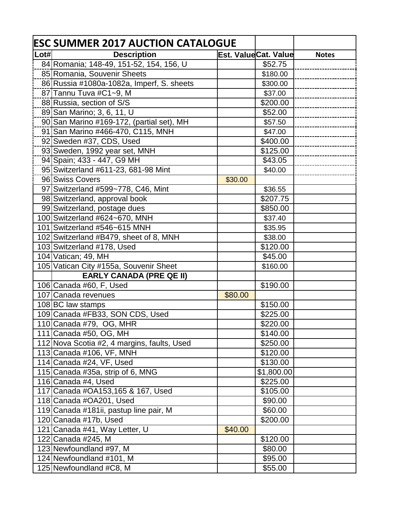|      | <b>ESC SUMMER 2017 AUCTION CATALOGUE</b>    |         |                      |              |
|------|---------------------------------------------|---------|----------------------|--------------|
| Lot# | <b>Description</b>                          |         | Est. ValueCat. Value | <b>Notes</b> |
|      | 84 Romania; 148-49, 151-52, 154, 156, U     |         | \$52.75              |              |
|      | 85 Romania, Souvenir Sheets                 |         | \$180.00             |              |
|      | 86 Russia #1080a-1082a, Imperf, S. sheets   |         | \$300.00             |              |
|      | 87 Tannu Tuva #C1~9, M                      |         | \$37.00              |              |
|      | 88 Russia, section of S/S                   |         | \$200.00             |              |
|      | 89 San Marino; 3, 6, 11, U                  |         | \$52.00              |              |
|      | 90 San Marino #169-172, (partial set), MH   |         | \$57.50              |              |
|      | 91 San Marino #466-470, C115, MNH           |         | \$47.00              |              |
|      | 92 Sweden #37, CDS, Used                    |         | \$400.00             |              |
|      | 93 Sweden, 1992 year set, MNH               |         | \$125.00             |              |
|      | 94 Spain; 433 - 447, G9 MH                  |         | \$43.05              |              |
|      | 95 Switzerland #611-23, 681-98 Mint         |         | \$40.00              |              |
|      | 96 Swiss Covers                             | \$30.00 |                      |              |
|      | 97 Switzerland #599~778, C46, Mint          |         | \$36.55              |              |
|      | 98 Switzerland, approval book               |         | \$207.75             |              |
|      | 99 Switzerland, postage dues                |         | \$850.00             |              |
|      | 100 Switzerland #624~670, MNH               |         | \$37.40              |              |
|      | 101 Switzerland #546~615 MNH                |         | \$35.95              |              |
|      | 102 Switzerland #B479, sheet of 8, MNH      |         | \$38.00              |              |
|      | 103 Switzerland #178, Used                  |         | \$120.00             |              |
|      | 104 Vatican; 49, MH                         |         | \$45.00              |              |
|      | 105 Vatican City #155a, Souvenir Sheet      |         | \$160.00             |              |
|      | <b>EARLY CANADA (PRE QE II)</b>             |         |                      |              |
|      | 106 Canada #60, F, Used                     |         | \$190.00             |              |
|      | 107 Canada revenues                         | \$80.00 |                      |              |
|      | 108 BC law stamps                           |         | \$150.00             |              |
|      | 109 Canada #FB33, SON CDS, Used             |         | \$225.00             |              |
|      | 110 Canada #79, OG, MHR                     |         | \$220.00             |              |
|      | 111 Canada #50, OG, MH                      |         | \$140.00             |              |
|      | 112 Nova Scotia #2, 4 margins, faults, Used |         | \$250.00             |              |
|      | 113 Canada #106, VF, MNH                    |         | \$120.00             |              |
|      | 114 Canada #24, VF, Used                    |         | \$130.00             |              |
|      | 115 Canada #35a, strip of 6, MNG            |         | \$1,800.00           |              |
|      | 116 Canada #4, Used                         |         | \$225.00             |              |
|      | 117 Canada #OA153,165 & 167, Used           |         | \$105.00             |              |
|      | 118 Canada #OA201, Used                     |         | \$90.00              |              |
|      | 119 Canada #181ii, pastup line pair, M      |         | \$60.00              |              |
|      | 120 Canada #17b, Used                       |         | \$200.00             |              |
|      | 121 Canada #41, Way Letter, U               | \$40.00 |                      |              |
|      | 122 Canada #245, M                          |         | \$120.00             |              |
|      | 123 Newfoundland #97, M                     |         | \$80.00              |              |
|      | 124 Newfoundland #101, M                    |         | \$95.00              |              |
|      | 125 Newfoundland #C8, M                     |         | \$55.00              |              |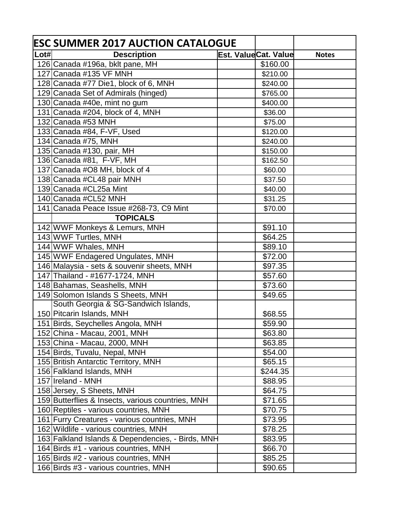|      | <b>ESC SUMMER 2017 AUCTION CATALOGUE</b>          |                      |              |
|------|---------------------------------------------------|----------------------|--------------|
| Lot# | <b>Description</b>                                | Est. ValueCat. Value | <b>Notes</b> |
|      | 126 Canada #196a, bklt pane, MH                   | \$160.00             |              |
|      | 127 Canada #135 VF MNH                            | \$210.00             |              |
|      | 128 Canada #77 Die1, block of 6, MNH              | \$240.00             |              |
|      | 129 Canada Set of Admirals (hinged)               | \$765.00             |              |
|      | 130 Canada #40e, mint no gum                      | \$400.00             |              |
|      | 131 Canada #204, block of 4, MNH                  | \$36.00              |              |
|      | 132 Canada #53 MNH                                | \$75.00              |              |
|      | 133 Canada #84, F-VF, Used                        | \$120.00             |              |
|      | 134 Canada #75, MNH                               | \$240.00             |              |
|      | 135 Canada #130, pair, MH                         | \$150.00             |              |
|      | 136 Canada #81, F-VF, MH                          | \$162.50             |              |
|      | 137 Canada #O8 MH, block of 4                     | \$60.00              |              |
|      | 138 Canada #CL48 pair MNH                         | \$37.50              |              |
|      | 139 Canada #CL25a Mint                            | \$40.00              |              |
|      | 140 Canada #CL52 MNH                              | \$31.25              |              |
|      | 141 Canada Peace Issue #268-73, C9 Mint           | \$70.00              |              |
|      | <b>TOPICALS</b>                                   |                      |              |
|      | 142 WWF Monkeys & Lemurs, MNH                     | \$91.10              |              |
|      | 143 WWF Turtles, MNH                              | \$64.25              |              |
|      | 144 WWF Whales, MNH                               | \$89.10              |              |
|      | 145 WWF Endagered Ungulates, MNH                  | \$72.00              |              |
|      | 146 Malaysia - sets & souvenir sheets, MNH        | \$97.35              |              |
|      | 147 Thailand - #1677-1724, MNH                    | \$57.60              |              |
|      | 148 Bahamas, Seashells, MNH                       | \$73.60              |              |
|      | 149 Solomon Islands S Sheets, MNH                 | \$49.65              |              |
|      | South Georgia & SG-Sandwich Islands,              |                      |              |
|      | 150 Pitcarin Islands, MNH                         | \$68.55              |              |
|      | 151 Birds, Seychelles Angola, MNH                 | \$59.90              |              |
|      | 152 China - Macau, 2001, MNH                      | \$63.80              |              |
|      | 153 China - Macau, 2000, MNH                      | \$63.85              |              |
|      | 154 Birds, Tuvalu, Nepal, MNH                     | \$54.00              |              |
|      | 155 British Antarctic Territory, MNH              | \$65.15              |              |
|      | 156 Falkland Islands, MNH                         | \$244.35             |              |
|      | 157 Ireland - MNH                                 | \$88.95              |              |
|      | 158 Jersey, S Sheets, MNH                         | \$64.75              |              |
|      | 159 Butterflies & Insects, various countries, MNH | \$71.65              |              |
|      | 160 Reptiles - various countries, MNH             | \$70.75              |              |
|      | 161 Furry Creatures - various countries, MNH      | \$73.95              |              |
|      | 162 Wildlife - various countries, MNH             | \$78.25              |              |
|      | 163 Falkland Islands & Dependencies, - Birds, MNH | \$83.95              |              |
|      | 164 Birds #1 - various countries, MNH             | \$66.70              |              |
|      | 165 Birds #2 - various countries, MNH             | \$85.25              |              |
|      | 166 Birds #3 - various countries, MNH             | \$90.65              |              |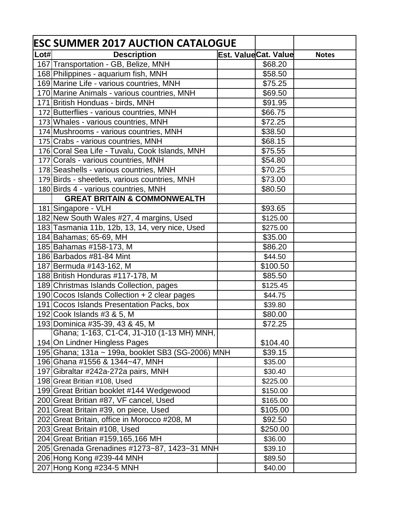|                             | <b>ESC SUMMER 2017 AUCTION CATALOGUE</b>          |                      |              |
|-----------------------------|---------------------------------------------------|----------------------|--------------|
| $\overline{\mathsf{L}}$ ot# | <b>Description</b>                                | Est. ValueCat. Value | <b>Notes</b> |
|                             | 167 Transportation - GB, Belize, MNH              | \$68.20              |              |
|                             | 168 Philippines - aquarium fish, MNH              | \$58.50              |              |
|                             | 169 Marine Life - various countries, MNH          | \$75.25              |              |
|                             | 170 Marine Animals - various countries, MNH       | \$69.50              |              |
|                             | 171 British Honduas - birds, MNH                  | \$91.95              |              |
|                             | 172 Butterflies - various countries, MNH          | \$66.75              |              |
|                             | 173 Whales - various countries, MNH               | \$72.25              |              |
|                             | 174 Mushrooms - various countries, MNH            | \$38.50              |              |
|                             | 175 Crabs - various countries, MNH                | \$68.15              |              |
|                             | 176 Coral Sea Life - Tuvalu, Cook Islands, MNH    | \$75.55              |              |
|                             | 177 Corals - various countries, MNH               | \$54.80              |              |
|                             | 178 Seashells - various countries, MNH            | \$70.25              |              |
|                             | 179 Birds - sheetlets, various countries, MNH     | \$73.00              |              |
|                             | 180 Birds 4 - various countries, MNH              | \$80.50              |              |
|                             | <b>GREAT BRITAIN &amp; COMMONWEALTH</b>           |                      |              |
|                             | 181 Singapore - VLH                               | \$93.65              |              |
|                             | 182 New South Wales #27, 4 margins, Used          | \$125.00             |              |
|                             | 183 Tasmania 11b, 12b, 13, 14, very nice, Used    | \$275.00             |              |
|                             | 184 Bahamas; 65-69, MH                            | \$35.00              |              |
|                             | 185 Bahamas #158-173, M                           | \$86.20              |              |
|                             | 186 Barbados #81-84 Mint                          | \$44.50              |              |
|                             | 187 Bermuda #143-162, M                           | \$100.50             |              |
|                             | 188 British Honduras #117-178, M                  | \$85.50              |              |
|                             | 189 Christmas Islands Collection, pages           | \$125.45             |              |
|                             | 190 Cocos Islands Collection + 2 clear pages      | \$44.75              |              |
|                             | 191 Cocos Islands Presentation Packs, box         | \$39.80              |              |
|                             | 192 Cook Islands #3 & 5, M                        | \$80.00              |              |
|                             | 193 Dominica #35-39, 43 & 45, M                   | \$72.25              |              |
|                             | Ghana; 1-163, C1-C4, J1-J10 (1-13 MH) MNH,        |                      |              |
|                             | 194 On Lindner Hingless Pages                     | \$104.40             |              |
|                             | 195 Ghana; 131a ~ 199a, booklet SB3 (SG-2006) MNH | \$39.15              |              |
|                             | 196 Ghana #1556 & 1344~47, MNH                    | \$35.00              |              |
|                             | 197 Gibraltar #242a-272a pairs, MNH               | \$30.40              |              |
|                             | 198 Great Britian #108, Used                      | \$225.00             |              |
|                             | 199 Great Britian booklet #144 Wedgewood          | \$150.00             |              |
|                             | 200 Great Britian #87, VF cancel, Used            | \$165.00             |              |
|                             | 201 Great Britain #39, on piece, Used             | \$105.00             |              |
|                             | 202 Great Britain, office in Morocco #208, M      | \$92.50              |              |
|                             | 203 Great Britain #108, Used                      | \$250.00             |              |
|                             | 204 Great Britian #159,165,166 MH                 | \$36.00              |              |
|                             | 205 Grenada Grenadines #1273~87, 1423~31 MNH      | \$39.10              |              |
|                             | 206 Hong Kong #239-44 MNH                         | \$89.50              |              |
|                             | 207 Hong Kong #234-5 MNH                          | \$40.00              |              |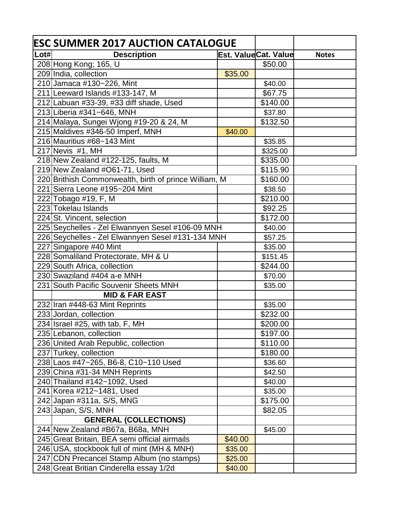|      | <b>ESC SUMMER 2017 AUCTION CATALOGUE</b>              |         |                      |              |
|------|-------------------------------------------------------|---------|----------------------|--------------|
| Lot# | <b>Description</b>                                    |         | Est. ValueCat. Value | <b>Notes</b> |
|      | 208 Hong Kong; 165, U                                 |         | \$50.00              |              |
|      | 209 India, collection                                 | \$35.00 |                      |              |
|      | 210 Jamaca #130~226, Mint                             |         | \$40.00              |              |
|      | 211 Leeward Islands #133-147, M                       |         | \$67.75              |              |
|      | 212 Labuan #33-39, #33 diff shade, Used               |         | \$140.00             |              |
|      | 213 Liberia #341~646, MNH                             |         | \$37.80              |              |
|      | 214 Malaya, Sungei Wjong #19-20 & 24, M               |         | \$132.50             |              |
|      | 215 Maldives #346-50 Imperf, MNH                      | \$40.00 |                      |              |
|      | 216 Mauritius #68~143 Mint                            |         | \$35.85              |              |
|      | 217 Nevis $#1$ , MH                                   |         | \$325.00             |              |
|      | 218 New Zealand #122-125, faults, M                   |         | \$335.00             |              |
|      | 219 New Zealand #O61-71, Used                         |         | \$115.90             |              |
|      | 220 Brithish Commonwealth, birth of prince William, M |         | \$160.00             |              |
|      | 221 Sierra Leone #195~204 Mint                        |         | \$38.50              |              |
|      | 222 Tobago #19, F, M                                  |         | \$210.00             |              |
|      | 223 Tokelau Islands                                   |         | \$92.25              |              |
|      | 224 St. Vincent, selection                            |         | \$172.00             |              |
|      | 225 Seychelles - Zel Elwannyen Sesel #106-09 MNH      |         | \$40.00              |              |
|      | 226 Seychelles - Zel Elwannyen Sesel #131-134 MNH     |         | \$57.25              |              |
|      | 227 Singapore #40 Mint                                |         | \$35.00              |              |
|      | 228 Somaliland Protectorate, MH & U                   |         | \$151.45             |              |
|      | 229 South Africa, collection                          |         | \$244.00             |              |
|      | 230 Swaziland #404 a-e MNH                            |         | \$70.00              |              |
|      | 231 South Pacific Souvenir Sheets MNH                 |         | \$35.00              |              |
|      | <b>MID &amp; FAR EAST</b>                             |         |                      |              |
|      | 232 Iran #448-63 Mint Reprints                        |         | \$35.00              |              |
|      | 233 Jordan, collection                                |         | \$232.00             |              |
|      | 234 Israel #25, with tab, F, MH                       |         | \$200.00             |              |
|      | 235 Lebanon, collection                               |         | \$197.00             |              |
|      | 236 United Arab Republic, collection                  |         | \$110.00             |              |
|      | 237 Turkey, collection                                |         | \$180.00             |              |
|      | 238 Laos #47~265, B6-8, C10~110 Used                  |         | \$36.60              |              |
|      | 239 China #31-34 MNH Reprints                         |         | \$42.50              |              |
|      | 240 Thailand #142~1092, Used                          |         | \$40.00              |              |
|      | 241 Korea #212~1481, Used                             |         | \$35.00              |              |
|      | 242 Japan #311a, S/S, MNG                             |         | \$175.00             |              |
|      | 243 Japan, S/S, MNH                                   |         | \$82.05              |              |
|      | <b>GENERAL (COLLECTIONS)</b>                          |         |                      |              |
|      | 244 New Zealand #B67a, B68a, MNH                      |         | \$45.00              |              |
|      | 245 Great Britain, BEA semi official airmails         | \$40.00 |                      |              |
|      | 246 USA, stockbook full of mint (MH & MNH)            | \$35.00 |                      |              |
|      | 247 CDN Precancel Stamp Album (no stamps)             | \$25.00 |                      |              |
|      | 248 Great Britian Cinderella essay 1/2d               | \$40.00 |                      |              |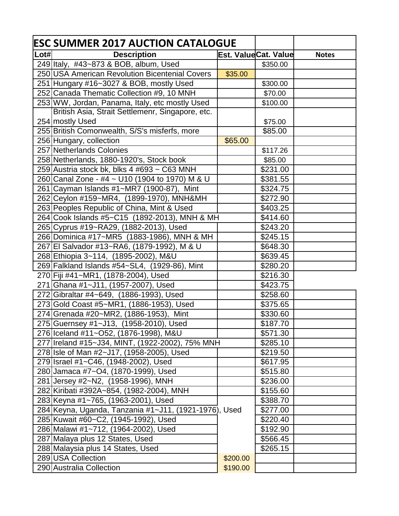|      | <b>ESC SUMMER 2017 AUCTION CATALOGUE</b>              |                      |          |              |  |
|------|-------------------------------------------------------|----------------------|----------|--------------|--|
| Lot# | <b>Description</b>                                    | Est. ValueCat. Value |          | <b>Notes</b> |  |
|      | 249 Italy, #43~873 & BOB, album, Used                 |                      | \$350.00 |              |  |
|      | 250 USA American Revolution Bicentenial Covers        | \$35.00              |          |              |  |
|      | 251 Hungary #16~3027 & BOB, mostly Used               |                      | \$300.00 |              |  |
|      | 252 Canada Thematic Collection #9, 10 MNH             |                      | \$70.00  |              |  |
|      | 253 WW, Jordan, Panama, Italy, etc mostly Used        |                      | \$100.00 |              |  |
|      | British Asia, Strait Settlemenr, Singapore, etc.      |                      |          |              |  |
|      | 254 mostly Used                                       |                      | \$75.00  |              |  |
|      | 255 British Comonwealth, S/S's misferfs, more         |                      | \$85.00  |              |  |
|      | 256 Hungary, collection                               | \$65.00              |          |              |  |
|      | 257 Netherlands Colonies                              |                      | \$117.26 |              |  |
|      | 258 Netherlands, 1880-1920's, Stock book              |                      | \$85.00  |              |  |
|      | 259 Austria stock bk, blks 4 #693 ~ C63 MNH           |                      | \$231.00 |              |  |
|      | 260 Canal Zone - #4 ~ U10 (1904 to 1970) M & U        |                      | \$381.55 |              |  |
|      | 261 Cayman Islands #1~MR7 (1900-87), Mint             |                      | \$324.75 |              |  |
|      | 262 Ceylon #159~MR4, (1899-1970), MNH&MH              |                      | \$272.90 |              |  |
|      | 263 Peoples Republic of China, Mint & Used            |                      | \$403.25 |              |  |
|      | 264 Cook Islands #5~C15 (1892-2013), MNH & MH         |                      | \$414.60 |              |  |
|      | 265 Cyprus #19~RA29, (1882-2013), Used                |                      | \$243.20 |              |  |
|      | 266 Dominica #17~MR5 (1883-1986), MNH & MH            |                      | \$245.15 |              |  |
|      | 267 El Salvador #13~RA6, (1879-1992), M & U           |                      | \$648.30 |              |  |
|      | 268 Ethiopia 3~114, (1895-2002), M&U                  |                      | \$639.45 |              |  |
|      | 269 Falkland Islands #54~SL4, (1929-86), Mint         |                      | \$280.20 |              |  |
|      | 270 Fiji #41~MR1, (1878-2004), Used                   |                      | \$216.30 |              |  |
|      | 271 Ghana #1~J11, (1957-2007), Used                   |                      | \$423.75 |              |  |
|      | 272 Gibraltar #4~649, (1886-1993), Used               |                      | \$258.60 |              |  |
|      | 273 Gold Coast #5~MR1, (1886-1953), Used              |                      | \$375.65 |              |  |
|      | 274 Grenada #20~MR2, (1886-1953), Mint                |                      | \$330.60 |              |  |
|      | 275 Guernsey #1~J13, (1958-2010), Used                |                      | \$187.70 |              |  |
|      | 276 Iceland #11~052, (1876-1998), M&U                 |                      | \$571.30 |              |  |
|      | 277 Ireland #15~J34, MINT, (1922-2002), 75% MNH       |                      | \$285.10 |              |  |
|      | 278 Isle of Man #2~J17, (1958-2005), Used             |                      | \$219.50 |              |  |
|      | 279 Israel #1~C46, (1948-2002), Used                  |                      | \$617.95 |              |  |
|      | 280 Jamaca #7~04, (1870-1999), Used                   |                      | \$515.80 |              |  |
|      | 281 Jersey #2~N2, (1958-1996), MNH                    |                      | \$236.00 |              |  |
|      | 282 Kiribati #392A~854, (1982-2004), MNH              |                      | \$155.60 |              |  |
|      | 283 Keyna #1~765, (1963-2001), Used                   |                      | \$388.70 |              |  |
|      | 284 Keyna, Uganda, Tanzania #1~J11, (1921-1976), Used |                      | \$277.00 |              |  |
|      | 285 Kuwait #60~C2, (1945-1992), Used                  |                      | \$220.40 |              |  |
|      | 286 Malawi #1~712, (1964-2002), Used                  |                      | \$192.90 |              |  |
|      | 287 Malaya plus 12 States, Used                       |                      | \$566.45 |              |  |
|      | 288 Malaysia plus 14 States, Used                     |                      | \$265.15 |              |  |
|      | 289 USA Collection                                    | \$200.00             |          |              |  |
|      | 290 Australia Collection                              | \$190.00             |          |              |  |